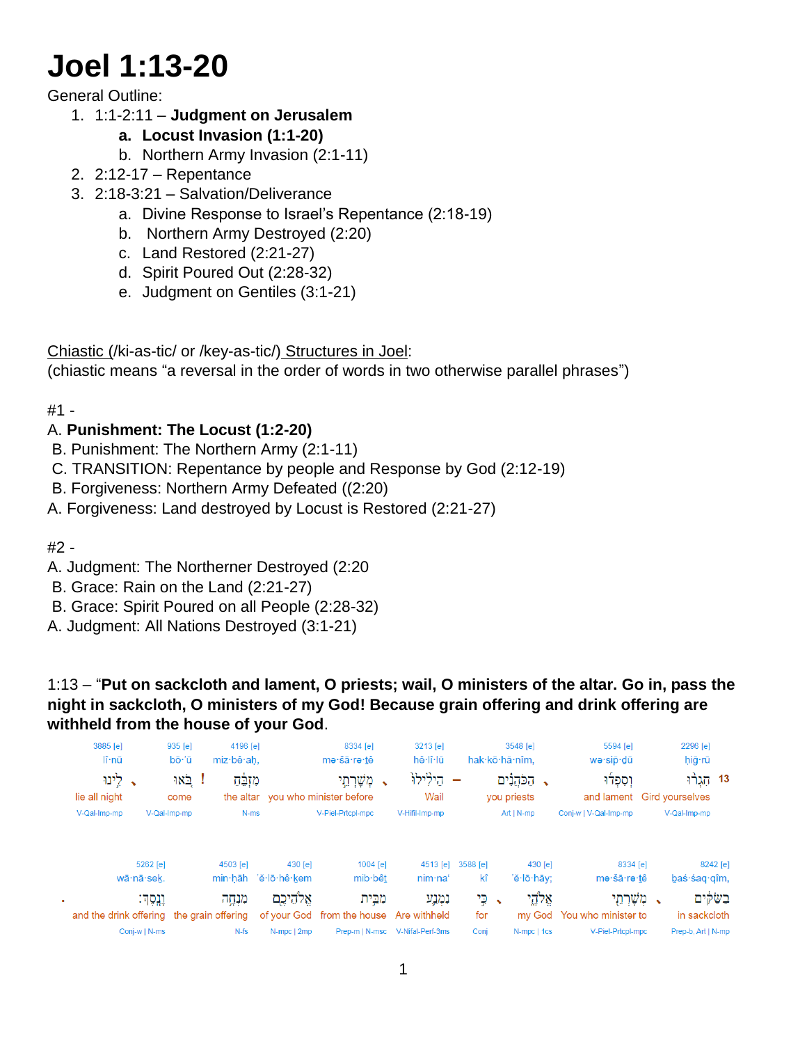# **Joel 1:13-20**

## General Outline:

1. 1:1-2:11 – **Judgment on Jerusalem**

- **a. Locust Invasion (1:1-20)**
- b. Northern Army Invasion (2:1-11)
- 2. 2:12-17 Repentance
- 3. 2:18-3:21 Salvation/Deliverance
	- a. Divine Response to Israel's Repentance (2:18-19)
	- b. Northern Army Destroyed (2:20)
	- c. Land Restored (2:21-27)
	- d. Spirit Poured Out (2:28-32)
	- e. Judgment on Gentiles (3:1-21)

Chiastic (/ki-as-tic/ or /key-as-tic/) Structures in Joel:

(chiastic means "a reversal in the order of words in two otherwise parallel phrases")

#1 -

## A. **Punishment: The Locust (1:2-20)**

- B. Punishment: The Northern Army (2:1-11)
- C. TRANSITION: Repentance by people and Response by God (2:12-19)
- B. Forgiveness: Northern Army Defeated ((2:20)
- A. Forgiveness: Land destroyed by Locust is Restored (2:21-27)

#2 -

- A. Judgment: The Northerner Destroyed (2:20
- B. Grace: Rain on the Land (2:21-27)
- B. Grace: Spirit Poured on all People (2:28-32)
- A. Judgment: All Nations Destroyed (3:1-21)

1:13 – "**Put on sackcloth and lament, O priests; wail, O ministers of the altar. Go in, pass the night in sackcloth, O ministers of my God! Because grain offering and drink offering are withheld from the house of your God**.

| 3885 [e]<br>$\mathsf{I}\hat{\mathsf{r}}$ -nū |               | 935 [e]<br>bō·'ū | 4196 [e]<br>miz·bê·ah, |                      | 8334 [e]<br>me·šā·re·tê                         | 3213 [e]<br>hê lî lū            |          | 3548 [e]<br>hak·kō·hă·nîm, | 5594 [e]<br>wə·sip·dū                   | 2296 [e]<br>hiğ·rū |  |
|----------------------------------------------|---------------|------------------|------------------------|----------------------|-------------------------------------------------|---------------------------------|----------|----------------------------|-----------------------------------------|--------------------|--|
| → לֵינוּ<br>lie all night                    |               | ! באו<br>come    | מזִבָּׂח               |                      | מְשָׁרְתֵי<br>the altar you who minister before | הילילו<br>Wail                  |          | הַכֹּהֵנִים<br>you priests | וְסִפְלוּ<br>and lament Gird yourselves | 13 הָגֶרוּ         |  |
| V-Qal-Imp-mp                                 |               | V-Qal-Imp-mp     | N-ms                   |                      | V-Piel-Prtcpl-mpc                               | V-Hifil-Imp-mp                  |          | $Art   N-mp$               | Conj-w   V-Qal-Imp-mp                   | V-Qal-Imp-mp       |  |
|                                              | 5262 [e]      |                  | 4503 [e]               | $430$ [e]            | 1004 [e]                                        | 4513 [e]                        | 3588 [e] | 430 [e]                    | 8334 [e]                                | 8242 [e]           |  |
|                                              | wā·nā·sek.    |                  |                        | min·hāh 'ĕ·lō·hê·kem | mib bêt                                         | nim·na'                         | kî       | 'ĕ·lō·hāy;                 | me·šā·re·tê                             | baś·śag·gîm,       |  |
|                                              | וְנֵסֶדּ:     |                  | מנחה                   | אַלהיכם              | מִבֵּית                                         | נמנע                            | → ⊊י     | אֱלְהֶי                    | מְשָׁרְתֵי                              | בשקים              |  |
| and the drink offering the grain offering    |               |                  |                        |                      | of your God from the house Are withheld         |                                 | for      |                            | my God You who minister to              | in sackcloth       |  |
|                                              | Conj-w   N-ms |                  | $N-fs$                 | N-mpc   2mp          |                                                 | Prep-m   N-msc V-Nifal-Perf-3ms | Conj     | N-mpc   1cs                | V-Piel-Prtcpl-mpc                       | Prep-b, Art   N-mp |  |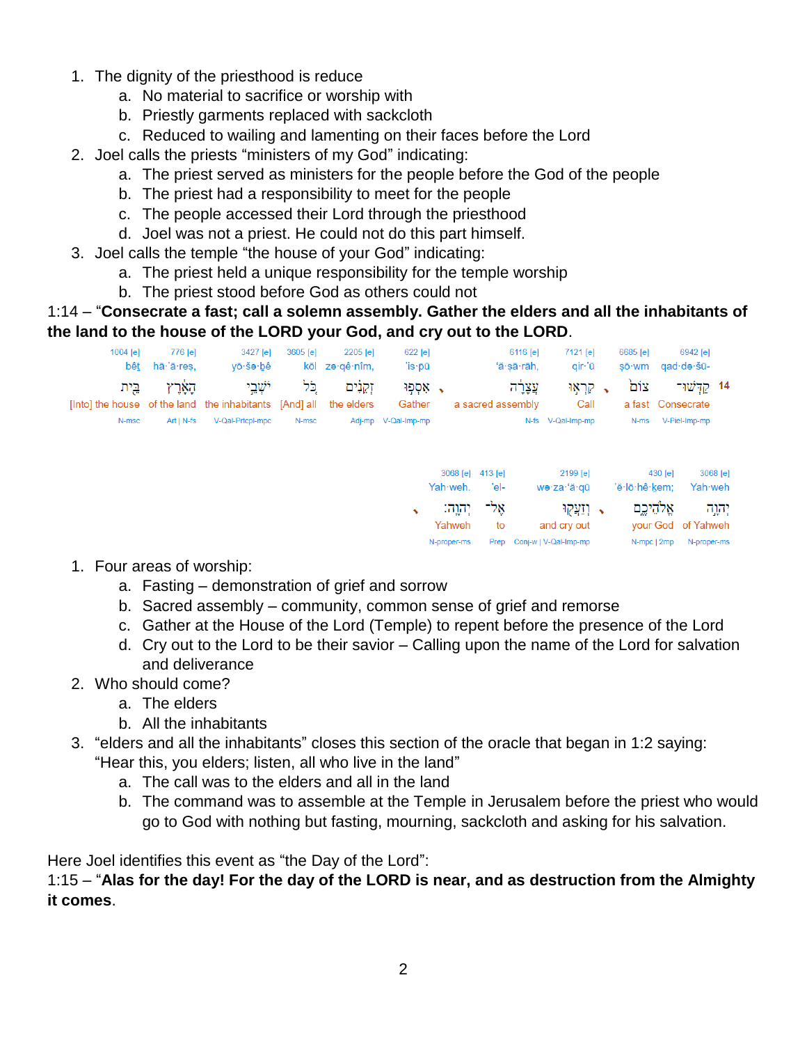- 1. The dignity of the priesthood is reduce
	- a. No material to sacrifice or worship with
	- b. Priestly garments replaced with sackcloth
	- c. Reduced to wailing and lamenting on their faces before the Lord
- 2. Joel calls the priests "ministers of my God" indicating:
	- a. The priest served as ministers for the people before the God of the people
	- b. The priest had a responsibility to meet for the people
	- c. The people accessed their Lord through the priesthood
	- d. Joel was not a priest. He could not do this part himself.
- 3. Joel calls the temple "the house of your God" indicating:
	- a. The priest held a unique responsibility for the temple worship
	- b. The priest stood before God as others could not

#### 1:14 – "**Consecrate a fast; call a solemn assembly. Gather the elders and all the inhabitants of the land to the house of the LORD your God, and cry out to the LORD**.



- 1. Four areas of worship:
	- a. Fasting demonstration of grief and sorrow
	- b. Sacred assembly community, common sense of grief and remorse
	- c. Gather at the House of the Lord (Temple) to repent before the presence of the Lord
	- d. Cry out to the Lord to be their savior Calling upon the name of the Lord for salvation and deliverance
- 2. Who should come?
	- a. The elders
	- b. All the inhabitants
- 3. "elders and all the inhabitants" closes this section of the oracle that began in 1:2 saying: "Hear this, you elders; listen, all who live in the land"
	- a. The call was to the elders and all in the land
	- b. The command was to assemble at the Temple in Jerusalem before the priest who would go to God with nothing but fasting, mourning, sackcloth and asking for his salvation.

Here Joel identifies this event as "the Day of the Lord":

1:15 – "**Alas for the day! For the day of the LORD is near, and as destruction from the Almighty it comes**.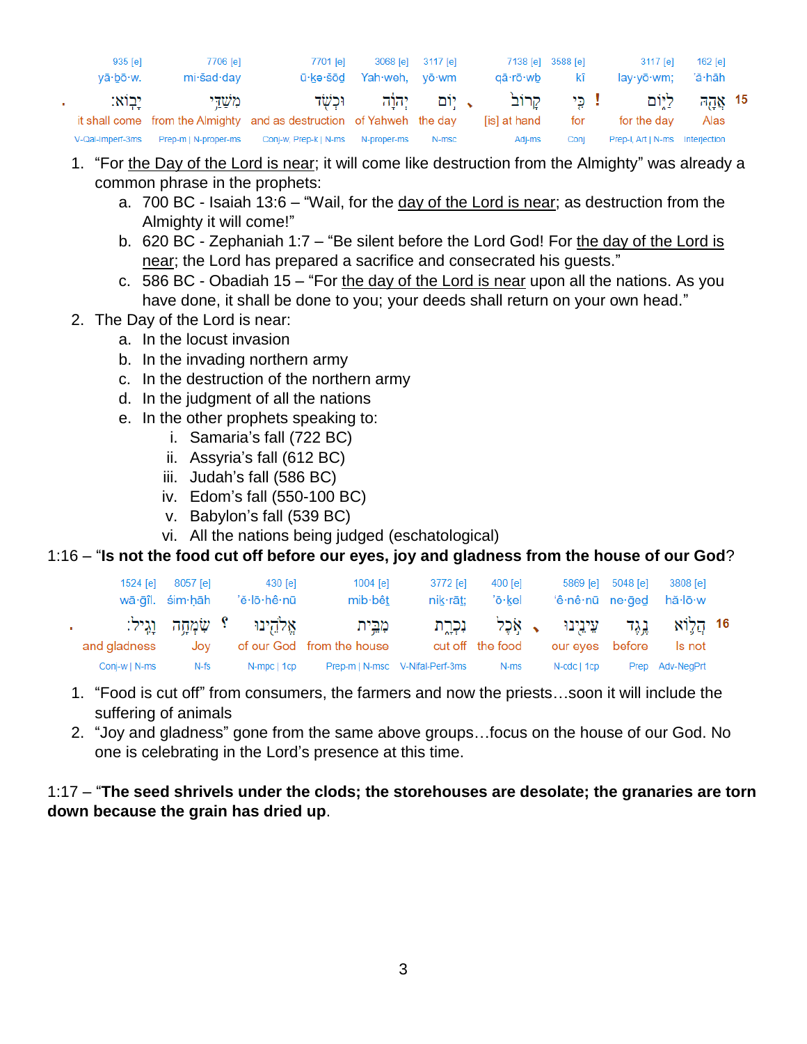| $935$ [e]<br>$v\bar{a} \cdot b\bar{o} \cdot w$ . | 7706 [e]<br>mi∙šad∙day | 7701 [e]<br>ū∙kə∙šōd                                                 | Yah weh, yō wm | 3068 [e] 3117 [e] | 7138 [e] 3588 [e]<br>aā∙rō∙wb          | kî   | 3117 [e]<br>lay∙yō∙wm;          | 162 [e]<br>'ă·hāh    |  |
|--------------------------------------------------|------------------------|----------------------------------------------------------------------|----------------|-------------------|----------------------------------------|------|---------------------------------|----------------------|--|
| יבוא:                                            | משדי                   | . וּכִש <del>ּׂ</del> ד                                              |                |                   | ! כֵּי קַרוֹב <b>' ,</b> יִוֹם יִהוֵֹה |      | ת ליום ה                        | $7\overline{10}$ אַק |  |
|                                                  |                        | it shall come from the Almighty and as destruction of Yahweh the day |                |                   | [is] at hand                           | for  | for the day                     | Alas                 |  |
| V-Qal-Imperf-3ms                                 | Prep-m   N-proper-ms   | Conj-w, Prep-k   N-ms                                                | N-proper-ms    | N-msc             | Adi-ms                                 | Coni | Prep-I, Art   N-ms Interjection |                      |  |

- 1. "For the Day of the Lord is near; it will come like destruction from the Almighty" was already a common phrase in the prophets:
	- a. 700 BC Isaiah 13:6 "Wail, for the day of the Lord is near; as destruction from the Almighty it will come!"
	- b. 620 BC Zephaniah 1:7 "Be silent before the Lord God! For the day of the Lord is near; the Lord has prepared a sacrifice and consecrated his quests."
	- c. 586 BC Obadiah 15 "For the day of the Lord is near upon all the nations. As you have done, it shall be done to you; your deeds shall return on your own head."
- 2. The Day of the Lord is near:

×.

- a. In the locust invasion
- b. In the invading northern army
- c. In the destruction of the northern army
- d. In the judgment of all the nations
- e. In the other prophets speaking to:
	- i. Samaria's fall (722 BC)
	- ii. Assyria's fall (612 BC)
	- iii. Judah's fall (586 BC)
	- iv. Edom's fall (550-100 BC)
	- v. Babylon's fall (539 BC)
	- vi. All the nations being judged (eschatological)

### 1:16 – "**Is not the food cut off before our eyes, joy and gladness from the house of our God**?

| $1524$ [e]    | 8057 [e]<br>wā gîl. sim hāh | 430 [e]<br>'ĕ∙lō∙hê∙nū         | $1004$ [e]<br>mib bêt                | 3772 [e]<br>$nik-rāt$ :         | $400$ [e]<br>'ō∙kel | 5869 [e]<br>'ê nê nū ne ged          | 5048 [e] | 3808 [e]<br>hă∙lō∙w |  |
|---------------|-----------------------------|--------------------------------|--------------------------------------|---------------------------------|---------------------|--------------------------------------|----------|---------------------|--|
| and gladness  | Jov                         | אַלֹהֵינוּ ؟ שָׂמְחָה וַגֵּיל: | מִבֵּית<br>of our God from the house | נכרת                            | cut off the food    | גֵגֵד עֵיְנֵיְנוּ ָאֶכֶל<br>our eyes | before   | 16 הלוא<br>Is not   |  |
| Conj-w   N-ms | N-fs                        | N-mpc   1cp                    |                                      | Prep-m   N-msc V-Nifal-Perf-3ms | N-ms                | $N-cdc$   1 $cp$                     |          | Prep Adv-NegPrt     |  |

- 1. "Food is cut off" from consumers, the farmers and now the priests…soon it will include the suffering of animals
- 2. "Joy and gladness" gone from the same above groups…focus on the house of our God. No one is celebrating in the Lord's presence at this time.

#### 1:17 – "**The seed shrivels under the clods; the storehouses are desolate; the granaries are torn down because the grain has dried up**.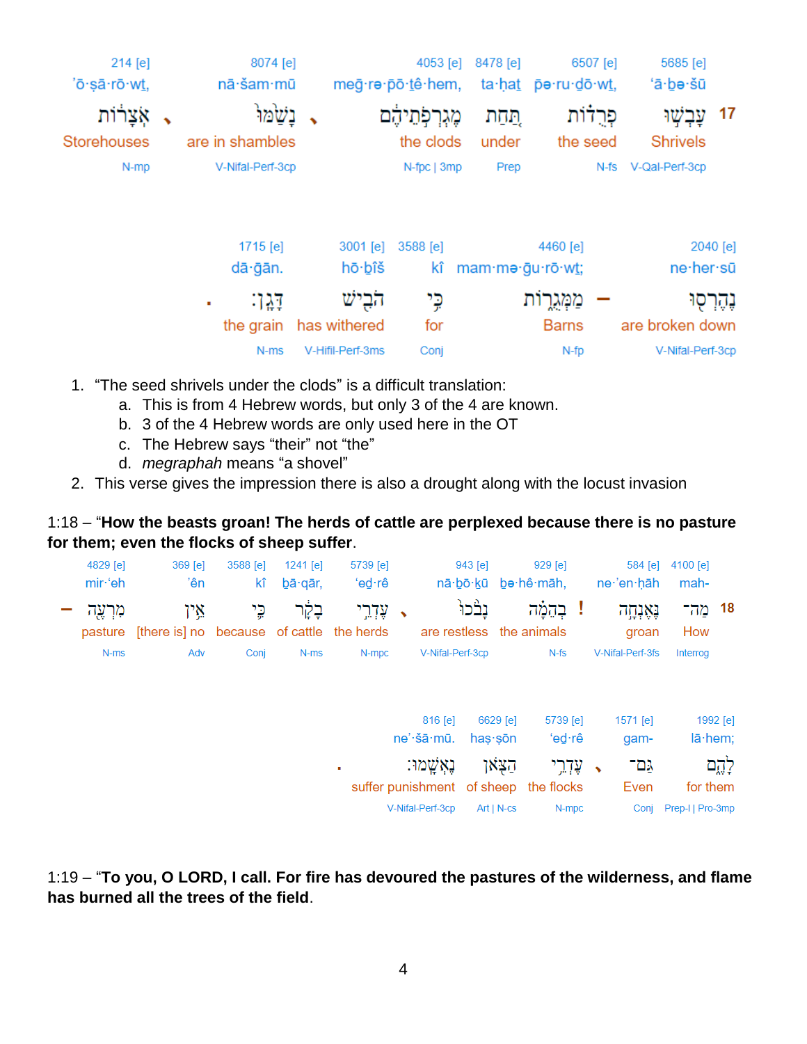| 214 [e]            | 8074 [e]              |                    | 4053 [e]          | 8478 [e]         |                      | 6507 [e]   | 5685 [e]            |            |
|--------------------|-----------------------|--------------------|-------------------|------------------|----------------------|------------|---------------------|------------|
| 'ō·sā·rō·wt,       | nā·šam·mū             |                    | meg·re·po·tê·hem, |                  | ta·ḥaṯ p̄ə·ru·do·wṯ, |            | 'ā∙bə∙šū            |            |
| אָצָרוֹת           | נשמו                  |                    | מֶגְרְפְתֵיהָם    | תֲהַת            |                      | פְּרֻדֿוֹת | עבשו                | 17         |
| <b>Storehouses</b> | are in shambles       |                    | the clods         | under            | the seed             |            | <b>Shrivels</b>     |            |
| N-mp               | V-Nifal-Perf-3cp      |                    | N-fpc   3mp       | Prep             |                      |            | N-fs V-Qal-Perf-3cp |            |
|                    | 1715 [e]<br>dā · gān. | 3001 [e]<br>hō∙bîš | 3588 [e]<br>kî    | mam·me·gu·rō·wt; | 4460 [e]             |            | ne·her·sū           | 2040 [e]   |
|                    | :171<br>٠             | הביש               | כֶי               |                  | מִמְגֻרָות           |            |                     | נֶהֶרְסְוּ |
|                    | the grain             | has withered       | for               |                  | <b>Barns</b>         |            | are broken down     |            |
|                    | N-ms                  | V-Hifil-Perf-3ms   | Conj              |                  | N-fp                 |            | V-Nifal-Perf-3cp    |            |

- 1. "The seed shrivels under the clods" is a difficult translation:
	- a. This is from 4 Hebrew words, but only 3 of the 4 are known.
	- b. 3 of the 4 Hebrew words are only used here in the OT
	- c. The Hebrew says "their" not "the"
	- d. *megraphah* means "a shovel"
- 2. This verse gives the impression there is also a drought along with the locust invasion

1:18 – "**How the beasts groan! The herds of cattle are perplexed because there is no pasture for them; even the flocks of sheep suffer**.

|          | 4100 [e]<br>mah-      | 584 [e]<br>ne 'en hāh |           | 929 [e]<br>nā·bō·kū be·hê·māh,        |              | 943 [e] |                          | 5739 [e]<br>'ed∙rê |   | $1241$ [e]<br>bā gār, | 3588 [e]<br>kî | $369$ [e]<br>'ên                                  | 4829 [e]<br>mir·'eh |  |
|----------|-----------------------|-----------------------|-----------|---------------------------------------|--------------|---------|--------------------------|--------------------|---|-----------------------|----------------|---------------------------------------------------|---------------------|--|
|          | 18 מה־<br>How         | נְאֶנְחָה<br>groan    |           | בהמה<br>I                             |              | נבׄכוּ  | are restless the animals | ּ עָדְרֵי          |   | בָקָׁר                | כֵי            | אַין<br>[there is] no because of cattle the herds | מִרְעֶה<br>pasture  |  |
|          | Interrog              | V-Nifal-Perf-3fs      |           | $N-fs$                                |              |         | V-Nifal-Perf-3cp         | N-mpc              |   | N-ms                  | Conj           | Adv                                               | N-ms                |  |
|          |                       |                       |           |                                       |              |         |                          |                    |   |                       |                |                                                   |                     |  |
| 1992 [e] |                       | $1571$ [e]            |           | 5739 [e]                              | 6629 [e]     |         | 816 [e]                  |                    |   |                       |                |                                                   |                     |  |
| lā·hem;  |                       | gam-                  |           | 'ed∙rê                                | has∙sōn      |         | ne'·šā·mū.               |                    |   |                       |                |                                                   |                     |  |
| לְהֶם    |                       | גם־                   | $\bullet$ | עֵדְרֵי                               | הצאן         |         | באשמר:                   |                    | ٠ |                       |                |                                                   |                     |  |
|          | for them              | Even                  |           | suffer punishment of sheep the flocks |              |         |                          |                    |   |                       |                |                                                   |                     |  |
|          | Conj Prep-I   Pro-3mp |                       |           | N-mpc                                 | $Art   N-cs$ |         | V-Nifal-Perf-3cp         |                    |   |                       |                |                                                   |                     |  |

1:19 – "**To you, O LORD, I call. For fire has devoured the pastures of the wilderness, and flame has burned all the trees of the field**.